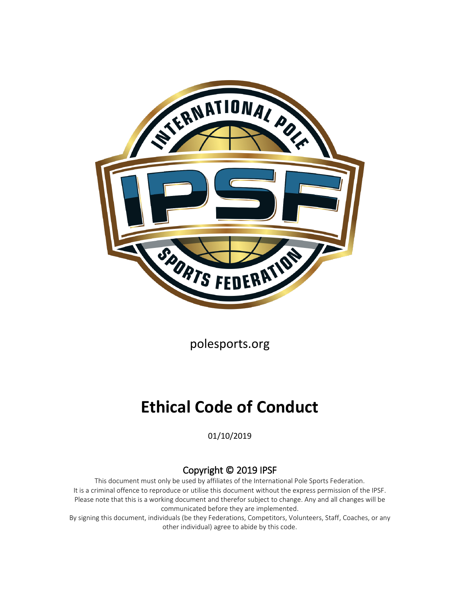

polesports.org

# **Ethical Code of Conduct**

01/10/2019

#### Copyright © 2019 IPSF

This document must only be used by affiliates of the International Pole Sports Federation. It is a criminal offence to reproduce or utilise this document without the express permission of the IPSF. Please note that this is a working document and therefor subject to change. Any and all changes will be communicated before they are implemented.

By signing this document, individuals (be they Federations, Competitors, Volunteers, Staff, Coaches, or any other individual) agree to abide by this code.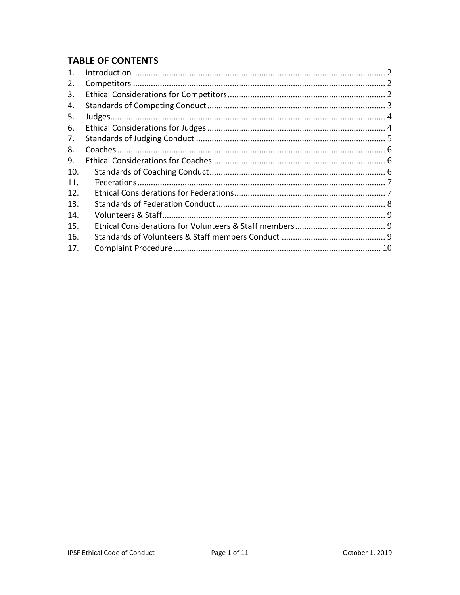#### **TABLE OF CONTENTS**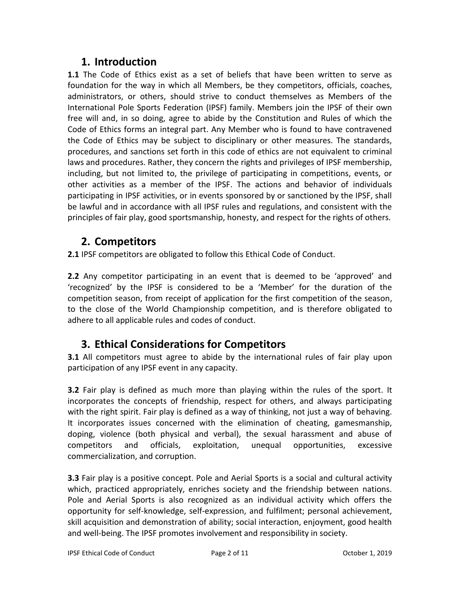#### **1. Introduction**

**1.1** The Code of Ethics exist as a set of beliefs that have been written to serve as foundation for the way in which all Members, be they competitors, officials, coaches, administrators, or others, should strive to conduct themselves as Members of the International Pole Sports Federation (IPSF) family. Members join the IPSF of their own free will and, in so doing, agree to abide by the Constitution and Rules of which the Code of Ethics forms an integral part. Any Member who is found to have contravened the Code of Ethics may be subject to disciplinary or other measures. The standards, procedures, and sanctions set forth in this code of ethics are not equivalent to criminal laws and procedures. Rather, they concern the rights and privileges of IPSF membership, including, but not limited to, the privilege of participating in competitions, events, or other activities as a member of the IPSF. The actions and behavior of individuals participating in IPSF activities, or in events sponsored by or sanctioned by the IPSF, shall be lawful and in accordance with all IPSF rules and regulations, and consistent with the principles of fair play, good sportsmanship, honesty, and respect for the rights of others.

## **2. Competitors**

**2.1** IPSF competitors are obligated to follow this Ethical Code of Conduct.

**2.2** Any competitor participating in an event that is deemed to be 'approved' and 'recognized' by the IPSF is considered to be a 'Member' for the duration of the competition season, from receipt of application for the first competition of the season, to the close of the World Championship competition, and is therefore obligated to adhere to all applicable rules and codes of conduct.

## **3. Ethical Considerations for Competitors**

**3.1** All competitors must agree to abide by the international rules of fair play upon participation of any IPSF event in any capacity.

**3.2** Fair play is defined as much more than playing within the rules of the sport. It incorporates the concepts of friendship, respect for others, and always participating with the right spirit. Fair play is defined as a way of thinking, not just a way of behaving. It incorporates issues concerned with the elimination of cheating, gamesmanship, doping, violence (both physical and verbal), the sexual harassment and abuse of competitors and officials, exploitation, unequal opportunities, excessive commercialization, and corruption.

**3.3** Fair play is a positive concept. Pole and Aerial Sports is a social and cultural activity which, practiced appropriately, enriches society and the friendship between nations. Pole and Aerial Sports is also recognized as an individual activity which offers the opportunity for self-knowledge, self-expression, and fulfilment; personal achievement, skill acquisition and demonstration of ability; social interaction, enjoyment, good health and well-being. The IPSF promotes involvement and responsibility in society.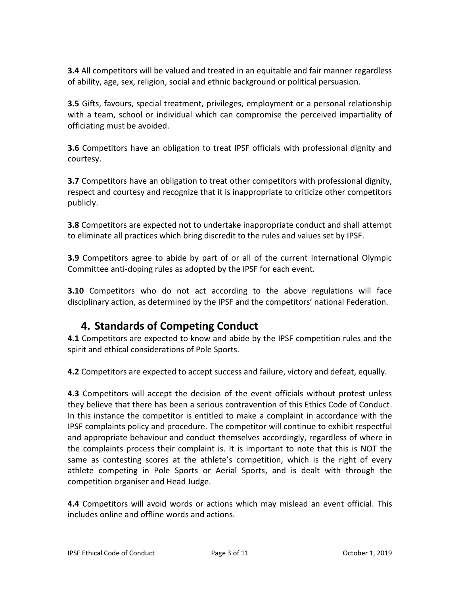**3.4** All competitors will be valued and treated in an equitable and fair manner regardless of ability, age, sex, religion, social and ethnic background or political persuasion.

**3.5** Gifts, favours, special treatment, privileges, employment or a personal relationship with a team, school or individual which can compromise the perceived impartiality of officiating must be avoided.

**3.6** Competitors have an obligation to treat IPSF officials with professional dignity and courtesy.

**3.7** Competitors have an obligation to treat other competitors with professional dignity, respect and courtesy and recognize that it is inappropriate to criticize other competitors publicly.

**3.8** Competitors are expected not to undertake inappropriate conduct and shall attempt to eliminate all practices which bring discredit to the rules and values set by IPSF.

**3.9** Competitors agree to abide by part of or all of the current International Olympic Committee anti-doping rules as adopted by the IPSF for each event.

**3.10** Competitors who do not act according to the above regulations will face disciplinary action, as determined by the IPSF and the competitors' national Federation.

# **4. Standards of Competing Conduct**

**4.1** Competitors are expected to know and abide by the IPSF competition rules and the spirit and ethical considerations of Pole Sports.

**4.2** Competitors are expected to accept success and failure, victory and defeat, equally.

**4.3** Competitors will accept the decision of the event officials without protest unless they believe that there has been a serious contravention of this Ethics Code of Conduct. In this instance the competitor is entitled to make a complaint in accordance with the IPSF complaints policy and procedure. The competitor will continue to exhibit respectful and appropriate behaviour and conduct themselves accordingly, regardless of where in the complaints process their complaint is. It is important to note that this is NOT the same as contesting scores at the athlete's competition, which is the right of every athlete competing in Pole Sports or Aerial Sports, and is dealt with through the competition organiser and Head Judge.

**4.4** Competitors will avoid words or actions which may mislead an event official. This includes online and offline words and actions.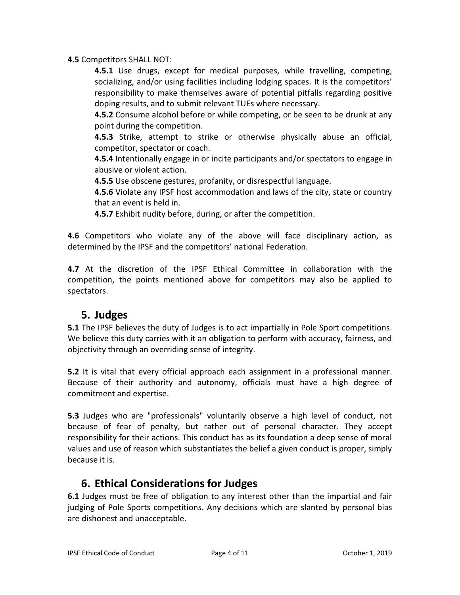**4.5** Competitors SHALL NOT:

**4.5.1** Use drugs, except for medical purposes, while travelling, competing, socializing, and/or using facilities including lodging spaces. It is the competitors' responsibility to make themselves aware of potential pitfalls regarding positive doping results, and to submit relevant TUEs where necessary.

**4.5.2** Consume alcohol before or while competing, or be seen to be drunk at any point during the competition.

**4.5.3** Strike, attempt to strike or otherwise physically abuse an official, competitor, spectator or coach.

**4.5.4** Intentionally engage in or incite participants and/or spectators to engage in abusive or violent action.

**4.5.5** Use obscene gestures, profanity, or disrespectful language.

**4.5.6** Violate any IPSF host accommodation and laws of the city, state or country that an event is held in.

**4.5.7** Exhibit nudity before, during, or after the competition.

**4.6** Competitors who violate any of the above will face disciplinary action, as determined by the IPSF and the competitors' national Federation.

**4.7** At the discretion of the IPSF Ethical Committee in collaboration with the competition, the points mentioned above for competitors may also be applied to spectators.

#### **5. Judges**

**5.1** The IPSF believes the duty of Judges is to act impartially in Pole Sport competitions. We believe this duty carries with it an obligation to perform with accuracy, fairness, and objectivity through an overriding sense of integrity.

**5.2** It is vital that every official approach each assignment in a professional manner. Because of their authority and autonomy, officials must have a high degree of commitment and expertise.

**5.3** Judges who are "professionals" voluntarily observe a high level of conduct, not because of fear of penalty, but rather out of personal character. They accept responsibility for their actions. This conduct has as its foundation a deep sense of moral values and use of reason which substantiates the belief a given conduct is proper, simply because it is.

## **6. Ethical Considerations for Judges**

**6.1** Judges must be free of obligation to any interest other than the impartial and fair judging of Pole Sports competitions. Any decisions which are slanted by personal bias are dishonest and unacceptable.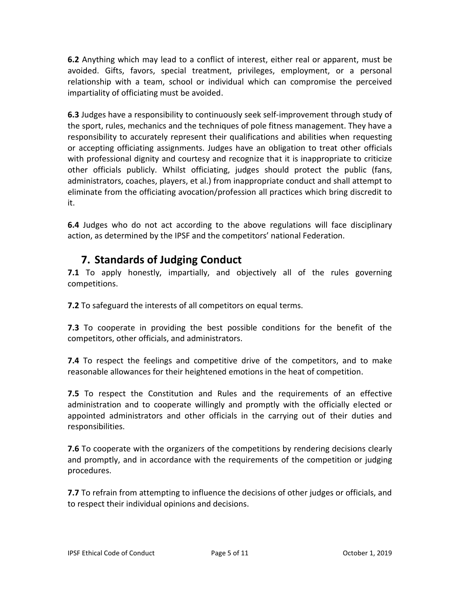**6.2** Anything which may lead to a conflict of interest, either real or apparent, must be avoided. Gifts, favors, special treatment, privileges, employment, or a personal relationship with a team, school or individual which can compromise the perceived impartiality of officiating must be avoided.

**6.3** Judges have a responsibility to continuously seek self-improvement through study of the sport, rules, mechanics and the techniques of pole fitness management. They have a responsibility to accurately represent their qualifications and abilities when requesting or accepting officiating assignments. Judges have an obligation to treat other officials with professional dignity and courtesy and recognize that it is inappropriate to criticize other officials publicly. Whilst officiating, judges should protect the public (fans, administrators, coaches, players, et al.) from inappropriate conduct and shall attempt to eliminate from the officiating avocation/profession all practices which bring discredit to it.

**6.4** Judges who do not act according to the above regulations will face disciplinary action, as determined by the IPSF and the competitors' national Federation.

# **7. Standards of Judging Conduct**

**7.1** To apply honestly, impartially, and objectively all of the rules governing competitions.

**7.2** To safeguard the interests of all competitors on equal terms.

**7.3** To cooperate in providing the best possible conditions for the benefit of the competitors, other officials, and administrators.

**7.4** To respect the feelings and competitive drive of the competitors, and to make reasonable allowances for their heightened emotions in the heat of competition.

**7.5** To respect the Constitution and Rules and the requirements of an effective administration and to cooperate willingly and promptly with the officially elected or appointed administrators and other officials in the carrying out of their duties and responsibilities.

**7.6** To cooperate with the organizers of the competitions by rendering decisions clearly and promptly, and in accordance with the requirements of the competition or judging procedures.

**7.7** To refrain from attempting to influence the decisions of other judges or officials, and to respect their individual opinions and decisions.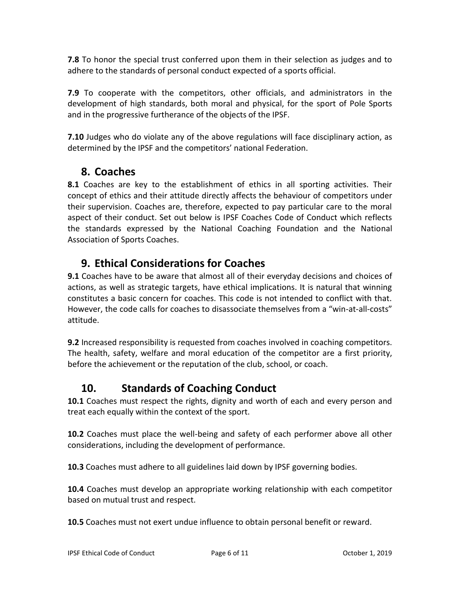**7.8** To honor the special trust conferred upon them in their selection as judges and to adhere to the standards of personal conduct expected of a sports official.

**7.9** To cooperate with the competitors, other officials, and administrators in the development of high standards, both moral and physical, for the sport of Pole Sports and in the progressive furtherance of the objects of the IPSF.

**7.10** Judges who do violate any of the above regulations will face disciplinary action, as determined by the IPSF and the competitors' national Federation.

# **8. Coaches**

**8.1** Coaches are key to the establishment of ethics in all sporting activities. Their concept of ethics and their attitude directly affects the behaviour of competitors under their supervision. Coaches are, therefore, expected to pay particular care to the moral aspect of their conduct. Set out below is IPSF Coaches Code of Conduct which reflects the standards expressed by the National Coaching Foundation and the National Association of Sports Coaches.

# **9. Ethical Considerations for Coaches**

**9.1** Coaches have to be aware that almost all of their everyday decisions and choices of actions, as well as strategic targets, have ethical implications. It is natural that winning constitutes a basic concern for coaches. This code is not intended to conflict with that. However, the code calls for coaches to disassociate themselves from a "win-at-all-costs" attitude.

**9.2** Increased responsibility is requested from coaches involved in coaching competitors. The health, safety, welfare and moral education of the competitor are a first priority, before the achievement or the reputation of the club, school, or coach.

# **10. Standards of Coaching Conduct**

**10.1** Coaches must respect the rights, dignity and worth of each and every person and treat each equally within the context of the sport.

**10.2** Coaches must place the well-being and safety of each performer above all other considerations, including the development of performance.

**10.3** Coaches must adhere to all guidelines laid down by IPSF governing bodies.

**10.4** Coaches must develop an appropriate working relationship with each competitor based on mutual trust and respect.

**10.5** Coaches must not exert undue influence to obtain personal benefit or reward.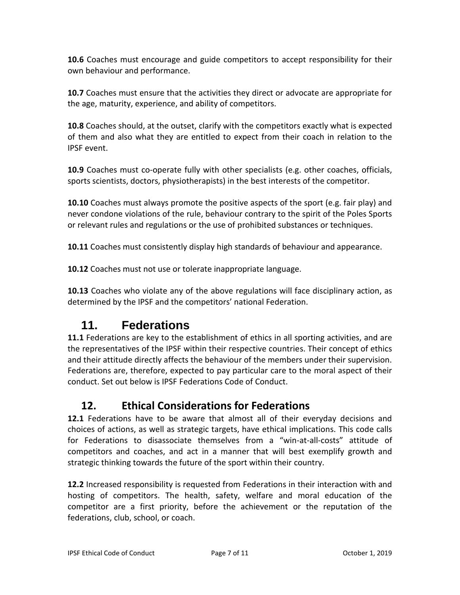**10.6** Coaches must encourage and guide competitors to accept responsibility for their own behaviour and performance.

**10.7** Coaches must ensure that the activities they direct or advocate are appropriate for the age, maturity, experience, and ability of competitors.

**10.8** Coaches should, at the outset, clarify with the competitors exactly what is expected of them and also what they are entitled to expect from their coach in relation to the IPSF event.

**10.9** Coaches must co-operate fully with other specialists (e.g. other coaches, officials, sports scientists, doctors, physiotherapists) in the best interests of the competitor.

**10.10** Coaches must always promote the positive aspects of the sport (e.g. fair play) and never condone violations of the rule, behaviour contrary to the spirit of the Poles Sports or relevant rules and regulations or the use of prohibited substances or techniques.

**10.11** Coaches must consistently display high standards of behaviour and appearance.

**10.12** Coaches must not use or tolerate inappropriate language.

**10.13** Coaches who violate any of the above regulations will face disciplinary action, as determined by the IPSF and the competitors' national Federation.

# **11. Federations**

**11.1** Federations are key to the establishment of ethics in all sporting activities, and are the representatives of the IPSF within their respective countries. Their concept of ethics and their attitude directly affects the behaviour of the members under their supervision. Federations are, therefore, expected to pay particular care to the moral aspect of their conduct. Set out below is IPSF Federations Code of Conduct.

## **12. Ethical Considerations for Federations**

**12.1** Federations have to be aware that almost all of their everyday decisions and choices of actions, as well as strategic targets, have ethical implications. This code calls for Federations to disassociate themselves from a "win-at-all-costs" attitude of competitors and coaches, and act in a manner that will best exemplify growth and strategic thinking towards the future of the sport within their country.

**12.2** Increased responsibility is requested from Federations in their interaction with and hosting of competitors. The health, safety, welfare and moral education of the competitor are a first priority, before the achievement or the reputation of the federations, club, school, or coach.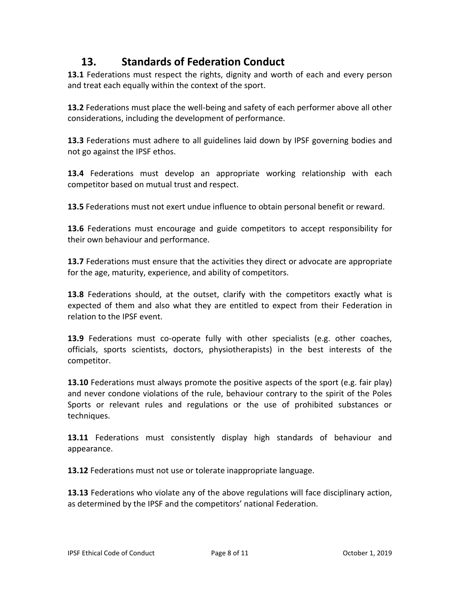# **13. Standards of Federation Conduct**

**13.1** Federations must respect the rights, dignity and worth of each and every person and treat each equally within the context of the sport.

**13.2** Federations must place the well-being and safety of each performer above all other considerations, including the development of performance.

**13.3** Federations must adhere to all guidelines laid down by IPSF governing bodies and not go against the IPSF ethos.

**13.4** Federations must develop an appropriate working relationship with each competitor based on mutual trust and respect.

**13.5** Federations must not exert undue influence to obtain personal benefit or reward.

**13.6** Federations must encourage and guide competitors to accept responsibility for their own behaviour and performance.

**13.7** Federations must ensure that the activities they direct or advocate are appropriate for the age, maturity, experience, and ability of competitors.

**13.8** Federations should, at the outset, clarify with the competitors exactly what is expected of them and also what they are entitled to expect from their Federation in relation to the IPSF event.

**13.9** Federations must co-operate fully with other specialists (e.g. other coaches, officials, sports scientists, doctors, physiotherapists) in the best interests of the competitor.

**13.10** Federations must always promote the positive aspects of the sport (e.g. fair play) and never condone violations of the rule, behaviour contrary to the spirit of the Poles Sports or relevant rules and regulations or the use of prohibited substances or techniques.

**13.11** Federations must consistently display high standards of behaviour and appearance.

**13.12** Federations must not use or tolerate inappropriate language.

**13.13** Federations who violate any of the above regulations will face disciplinary action, as determined by the IPSF and the competitors' national Federation.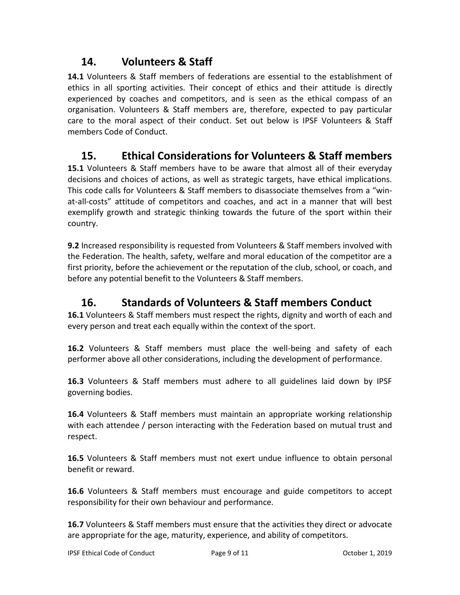# **14. Volunteers & Staff**

**14.1** Volunteers & Staff members of federations are essential to the establishment of ethics in all sporting activities. Their concept of ethics and their attitude is directly experienced by coaches and competitors, and is seen as the ethical compass of an organisation. Volunteers & Staff members are, therefore, expected to pay particular care to the moral aspect of their conduct. Set out below is IPSF Volunteers & Staff members Code of Conduct.

# **15. Ethical Considerations for Volunteers & Staff members**

**15.1** Volunteers & Staff members have to be aware that almost all of their everyday decisions and choices of actions, as well as strategic targets, have ethical implications. This code calls for Volunteers & Staff members to disassociate themselves from a "winat-all-costs" attitude of competitors and coaches, and act in a manner that will best exemplify growth and strategic thinking towards the future of the sport within their country.

**9.2** Increased responsibility is requested from Volunteers & Staff members involved with the Federation. The health, safety, welfare and moral education of the competitor are a first priority, before the achievement or the reputation of the club, school, or coach, and before any potential benefit to the Volunteers & Staff members.

## **16. Standards of Volunteers & Staff members Conduct**

**16.1** Volunteers & Staff members must respect the rights, dignity and worth of each and every person and treat each equally within the context of the sport.

**16.2** Volunteers & Staff members must place the well-being and safety of each performer above all other considerations, including the development of performance.

**16.3** Volunteers & Staff members must adhere to all guidelines laid down by IPSF governing bodies.

**16.4** Volunteers & Staff members must maintain an appropriate working relationship with each attendee / person interacting with the Federation based on mutual trust and respect.

**16.5** Volunteers & Staff members must not exert undue influence to obtain personal benefit or reward.

**16.6** Volunteers & Staff members must encourage and guide competitors to accept responsibility for their own behaviour and performance.

**16.7** Volunteers & Staff members must ensure that the activities they direct or advocate are appropriate for the age, maturity, experience, and ability of competitors.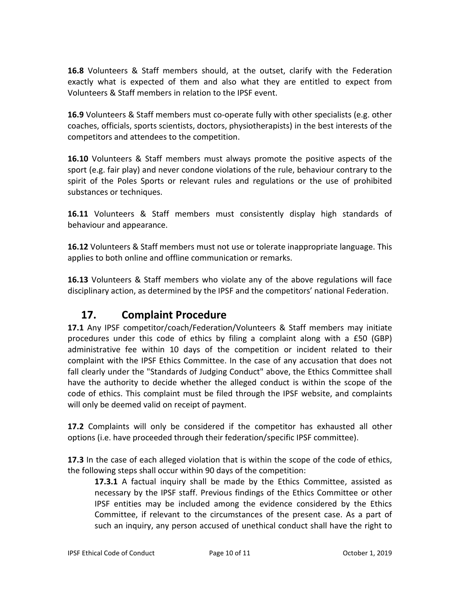**16.8** Volunteers & Staff members should, at the outset, clarify with the Federation exactly what is expected of them and also what they are entitled to expect from Volunteers & Staff members in relation to the IPSF event.

**16.9** Volunteers & Staff members must co-operate fully with other specialists (e.g. other coaches, officials, sports scientists, doctors, physiotherapists) in the best interests of the competitors and attendees to the competition.

**16.10** Volunteers & Staff members must always promote the positive aspects of the sport (e.g. fair play) and never condone violations of the rule, behaviour contrary to the spirit of the Poles Sports or relevant rules and regulations or the use of prohibited substances or techniques.

**16.11** Volunteers & Staff members must consistently display high standards of behaviour and appearance.

**16.12** Volunteers & Staff members must not use or tolerate inappropriate language. This applies to both online and offline communication or remarks.

**16.13** Volunteers & Staff members who violate any of the above regulations will face disciplinary action, as determined by the IPSF and the competitors' national Federation.

## **17. Complaint Procedure**

**17.1** Any IPSF competitor/coach/Federation/Volunteers & Staff members may initiate procedures under this code of ethics by filing a complaint along with a £50 (GBP) administrative fee within 10 days of the competition or incident related to their complaint with the IPSF Ethics Committee. In the case of any accusation that does not fall clearly under the "Standards of Judging Conduct" above, the Ethics Committee shall have the authority to decide whether the alleged conduct is within the scope of the code of ethics. This complaint must be filed through the IPSF website, and complaints will only be deemed valid on receipt of payment.

**17.2** Complaints will only be considered if the competitor has exhausted all other options (i.e. have proceeded through their federation/specific IPSF committee).

**17.3** In the case of each alleged violation that is within the scope of the code of ethics, the following steps shall occur within 90 days of the competition:

**17.3.1** A factual inquiry shall be made by the Ethics Committee, assisted as necessary by the IPSF staff. Previous findings of the Ethics Committee or other IPSF entities may be included among the evidence considered by the Ethics Committee, if relevant to the circumstances of the present case. As a part of such an inquiry, any person accused of unethical conduct shall have the right to